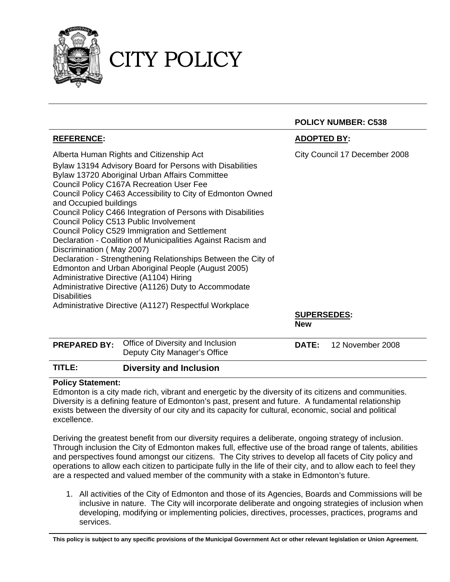

## CITY POLICY

|                                                                                                                                                                                                                                                                                                                                                                                                                                                                                                                                                                                                                                                                                                                                                                                                                                                                       | <b>POLICY NUMBER: C538</b>                                        |  |  |
|-----------------------------------------------------------------------------------------------------------------------------------------------------------------------------------------------------------------------------------------------------------------------------------------------------------------------------------------------------------------------------------------------------------------------------------------------------------------------------------------------------------------------------------------------------------------------------------------------------------------------------------------------------------------------------------------------------------------------------------------------------------------------------------------------------------------------------------------------------------------------|-------------------------------------------------------------------|--|--|
| <b>REFERENCE:</b>                                                                                                                                                                                                                                                                                                                                                                                                                                                                                                                                                                                                                                                                                                                                                                                                                                                     | <b>ADOPTED BY:</b>                                                |  |  |
| Alberta Human Rights and Citizenship Act<br>Bylaw 13194 Advisory Board for Persons with Disabilities<br>Bylaw 13720 Aboriginal Urban Affairs Committee<br><b>Council Policy C167A Recreation User Fee</b><br>Council Policy C463 Accessibility to City of Edmonton Owned<br>and Occupied buildings<br>Council Policy C466 Integration of Persons with Disabilities<br>Council Policy C513 Public Involvement<br>Council Policy C529 Immigration and Settlement<br>Declaration - Coalition of Municipalities Against Racism and<br>Discrimination (May 2007)<br>Declaration - Strengthening Relationships Between the City of<br>Edmonton and Urban Aboriginal People (August 2005)<br>Administrative Directive (A1104) Hiring<br>Administrative Directive (A1126) Duty to Accommodate<br><b>Disabilities</b><br>Administrative Directive (A1127) Respectful Workplace | City Council 17 December 2008<br><b>SUPERSEDES:</b><br><b>New</b> |  |  |
| Office of Diversity and Inclusion<br>-- ---                                                                                                                                                                                                                                                                                                                                                                                                                                                                                                                                                                                                                                                                                                                                                                                                                           |                                                                   |  |  |

| TITLE: | <b>Diversity and Inclusion</b>                                                        |                               |
|--------|---------------------------------------------------------------------------------------|-------------------------------|
|        | <b>PREPARED BY:</b> Office of Diversity and Inclusion<br>Deputy City Manager's Office | <b>DATE:</b> 12 November 2008 |

## **Policy Statement:**

Edmonton is a city made rich, vibrant and energetic by the diversity of its citizens and communities. Diversity is a defining feature of Edmonton's past, present and future. A fundamental relationship exists between the diversity of our city and its capacity for cultural, economic, social and political excellence.

Deriving the greatest benefit from our diversity requires a deliberate, ongoing strategy of inclusion. Through inclusion the City of Edmonton makes full, effective use of the broad range of talents, abilities and perspectives found amongst our citizens. The City strives to develop all facets of City policy and operations to allow each citizen to participate fully in the life of their city, and to allow each to feel they are a respected and valued member of the community with a stake in Edmonton's future.

1. All activities of the City of Edmonton and those of its Agencies, Boards and Commissions will be inclusive in nature. The City will incorporate deliberate and ongoing strategies of inclusion when developing, modifying or implementing policies, directives, processes, practices, programs and services.

**This policy is subject to any specific provisions of the Municipal Government Act or other relevant legislation or Union Agreement.**